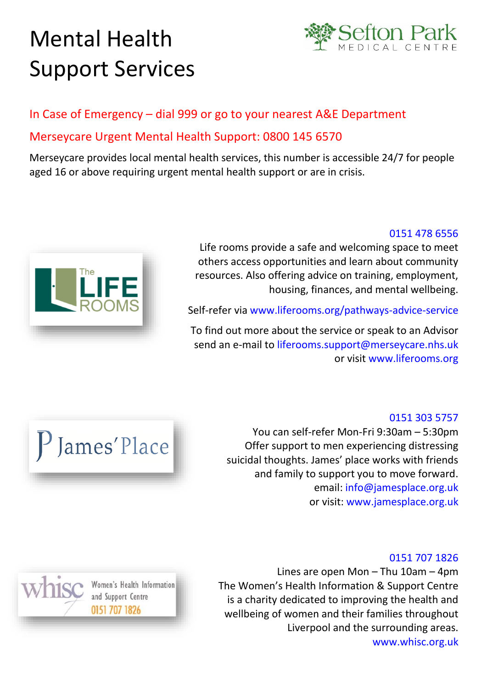# Mental Health Support Services



# In Case of Emergency – dial 999 or go to your nearest A&E Department Merseycare Urgent Mental Health Support: 0800 145 6570

Merseycare provides local mental health services, this number is accessible 24/7 for people aged 16 or above requiring urgent mental health support or are in crisis.



## 0151 478 6556

Life rooms provide a safe and welcoming space to meet others access opportunities and learn about community resources. Also offering advice on training, employment, housing, finances, and mental wellbeing.

Self-refer via [www.liferooms.org/pathways-advice-service](http://www.liferooms.org/pathways-advice-service/)

To find out more about the service or speak to an Advisor send an e-mail to [liferooms.support@merseycare.nhs.uk](mailto:liferooms.support@merseycare.nhs.uk) or visit www.liferooms.org



Women's Health Information

and Support Centre 0151 707 1826

# [0151 303 5757](tel:01513035757)

You can self-refer Mon-Fri 9:30am – 5:30pm Offer support to men experiencing distressing suicidal thoughts. James' place works with friends and family to support you to move forward. email: info@jamesplace.org.uk or visit: www.jamesplace.org.uk

### 0151 707 1826

Lines are open Mon – Thu 10am – 4pm The Women's Health Information & Support Centre is a charity dedicated to improving the health and wellbeing of women and their families throughout Liverpool and the surrounding areas. www.whisc.org.uk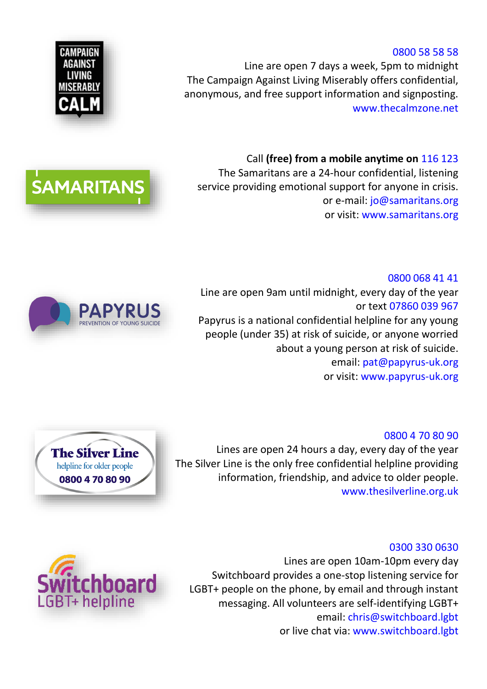#### 0800 58 58 58

Line are open 7 days a week, 5pm to midnight The Campaign Against Living Miserably offers confidential, anonymous, and free support information and signposting. [www.thecalmzone.net](http://www.thecalmzone.net/)

Call **[\(free\) from a mobile anytime on](tel:116123)** 116 123 The Samaritans are a 24-hour confidential, listening service providing emotional support for anyone in crisis. or e-mail: [jo@samaritans.org](mailto:jo@samaritans.org) or visit: www.samaritans.org

0800 068 41 41 Line are open 9am until midnight, every day of the year or text [07860 039 967](sms:07860039967) Papyrus is a national confidential helpline for any young people (under 35) at risk of suicide, or anyone worried about a young person at risk of suicide. email: [pat@papyrus-uk.org](mailto:pat@papyrus-uk.org) or visit: www.papyrus-uk.org

#### 0800 4 70 80 90

Lines are open 24 hours a day, every day of the year The Silver Line is the only free confidential helpline providing information, friendship, and advice to older people. www.thesilverline.org.uk

#### 0300 330 0630

Lines are open 10am-10pm every day Switchboard provides a one-stop listening service for LGBT+ people on the phone, by email and through instant messaging. All volunteers are self-identifying LGBT+ email: chris@switchboard.lgbt or live chat via: www.switchboard.lgbt



tchboard

LGBT+ helpline